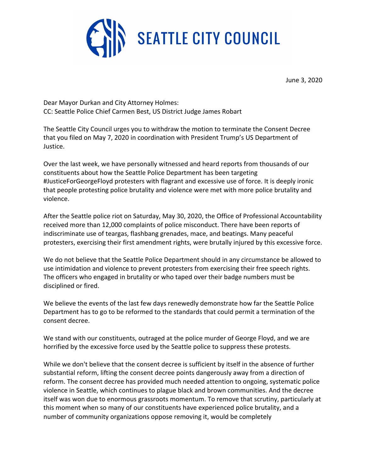

June 3, 2020

Dear Mayor Durkan and City Attorney Holmes: CC: Seattle Police Chief Carmen Best, US District Judge James Robart

The Seattle City Council urges you to withdraw the motion to terminate the Consent Decree that you filed on May 7, 2020 in coordination with President Trump's US Department of Justice.

Over the last week, we have personally witnessed and heard reports from thousands of our constituents about how the Seattle Police Department has been targeting #JusticeForGeorgeFloyd protesters with flagrant and excessive use of force. It is deeply ironic that people protesting police brutality and violence were met with more police brutality and violence.

After the Seattle police riot on Saturday, May 30, 2020, the Office of Professional Accountability received more than 12,000 complaints of police misconduct. There have been reports of indiscriminate use of teargas, flashbang grenades, mace, and beatings. Many peaceful protesters, exercising their first amendment rights, were brutally injured by this excessive force.

We do not believe that the Seattle Police Department should in any circumstance be allowed to use intimidation and violence to prevent protesters from exercising their free speech rights. The officers who engaged in brutality or who taped over their badge numbers must be disciplined or fired.

We believe the events of the last few days renewedly demonstrate how far the Seattle Police Department has to go to be reformed to the standards that could permit a termination of the consent decree.

We stand with our constituents, outraged at the police murder of George Floyd, and we are horrified by the excessive force used by the Seattle police to suppress these protests.

While we don't believe that the consent decree is sufficient by itself in the absence of further substantial reform, lifting the consent decree points dangerously away from a direction of reform. The consent decree has provided much needed attention to ongoing, systematic police violence in Seattle, which continues to plague black and brown communities. And the decree itself was won due to enormous grassroots momentum. To remove that scrutiny, particularly at this moment when so many of our constituents have experienced police brutality, and a number of community organizations oppose removing it, would be completely